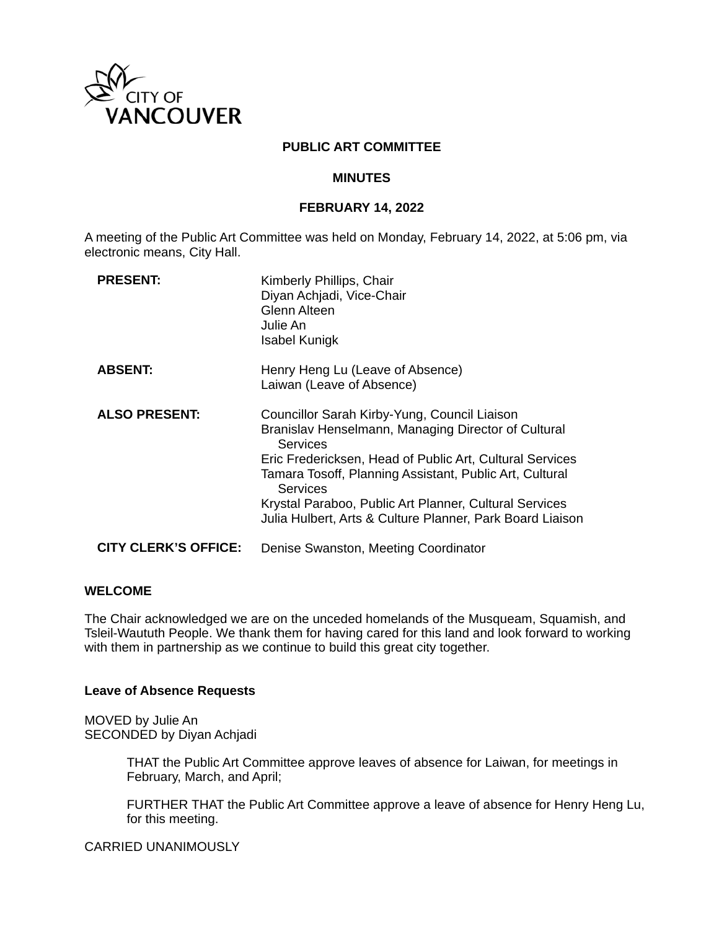

### **PUBLIC ART COMMITTEE**

#### **MINUTES**

#### **FEBRUARY 14, 2022**

A meeting of the Public Art Committee was held on Monday, February 14, 2022, at 5:06 pm, via electronic means, City Hall.

| <b>PRESENT:</b>             | Kimberly Phillips, Chair<br>Diyan Achjadi, Vice-Chair<br>Glenn Alteen<br>Julie An<br><b>Isabel Kunigk</b>                                                                                                                                                                                                                                                                               |
|-----------------------------|-----------------------------------------------------------------------------------------------------------------------------------------------------------------------------------------------------------------------------------------------------------------------------------------------------------------------------------------------------------------------------------------|
| <b>ABSENT:</b>              | Henry Heng Lu (Leave of Absence)<br>Laiwan (Leave of Absence)                                                                                                                                                                                                                                                                                                                           |
| <b>ALSO PRESENT:</b>        | Councillor Sarah Kirby-Yung, Council Liaison<br>Branislav Henselmann, Managing Director of Cultural<br><b>Services</b><br>Eric Fredericksen, Head of Public Art, Cultural Services<br>Tamara Tosoff, Planning Assistant, Public Art, Cultural<br><b>Services</b><br>Krystal Paraboo, Public Art Planner, Cultural Services<br>Julia Hulbert, Arts & Culture Planner, Park Board Liaison |
| <b>CITY CLERK'S OFFICE:</b> | Denise Swanston, Meeting Coordinator                                                                                                                                                                                                                                                                                                                                                    |

### **WELCOME**

The Chair acknowledged we are on the unceded homelands of the Musqueam, Squamish, and Tsleil-Waututh People. We thank them for having cared for this land and look forward to working with them in partnership as we continue to build this great city together.

#### **Leave of Absence Requests**

MOVED by Julie An SECONDED by Diyan Achjadi

> THAT the Public Art Committee approve leaves of absence for Laiwan, for meetings in February, March, and April;

FURTHER THAT the Public Art Committee approve a leave of absence for Henry Heng Lu, for this meeting.

CARRIED UNANIMOUSLY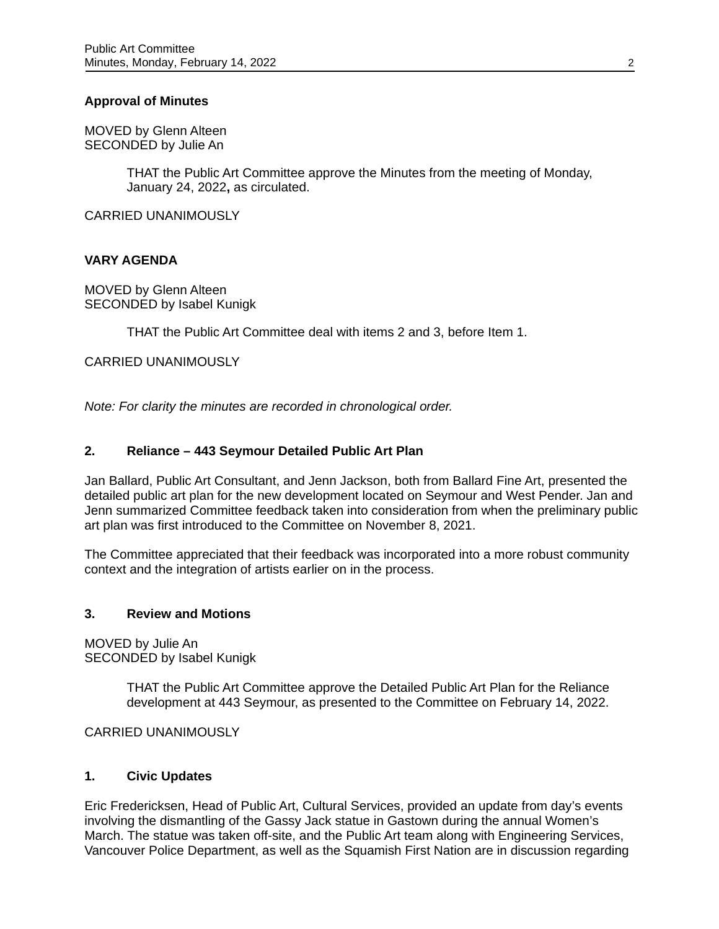## **Approval of Minutes**

MOVED by Glenn Alteen SECONDED by Julie An

> THAT the Public Art Committee approve the Minutes from the meeting of Monday, January 24, 2022**,** as circulated.

CARRIED UNANIMOUSLY

### **VARY AGENDA**

MOVED by Glenn Alteen SECONDED by Isabel Kunigk

THAT the Public Art Committee deal with items 2 and 3, before Item 1.

CARRIED UNANIMOUSLY

*Note: For clarity the minutes are recorded in chronological order.* 

## **2. Reliance – 443 Seymour Detailed Public Art Plan**

Jan Ballard, Public Art Consultant, and Jenn Jackson, both from Ballard Fine Art, presented the detailed public art plan for the new development located on Seymour and West Pender. Jan and Jenn summarized Committee feedback taken into consideration from when the preliminary public art plan was first introduced to the Committee on November 8, 2021.

The Committee appreciated that their feedback was incorporated into a more robust community context and the integration of artists earlier on in the process.

### **3. Review and Motions**

MOVED by Julie An SECONDED by Isabel Kunigk

> THAT the Public Art Committee approve the Detailed Public Art Plan for the Reliance development at 443 Seymour, as presented to the Committee on February 14, 2022.

CARRIED UNANIMOUSLY

### **1. Civic Updates**

Eric Fredericksen, Head of Public Art, Cultural Services, provided an update from day's events involving the dismantling of the Gassy Jack statue in Gastown during the annual Women's March. The statue was taken off-site, and the Public Art team along with Engineering Services, Vancouver Police Department, as well as the Squamish First Nation are in discussion regarding